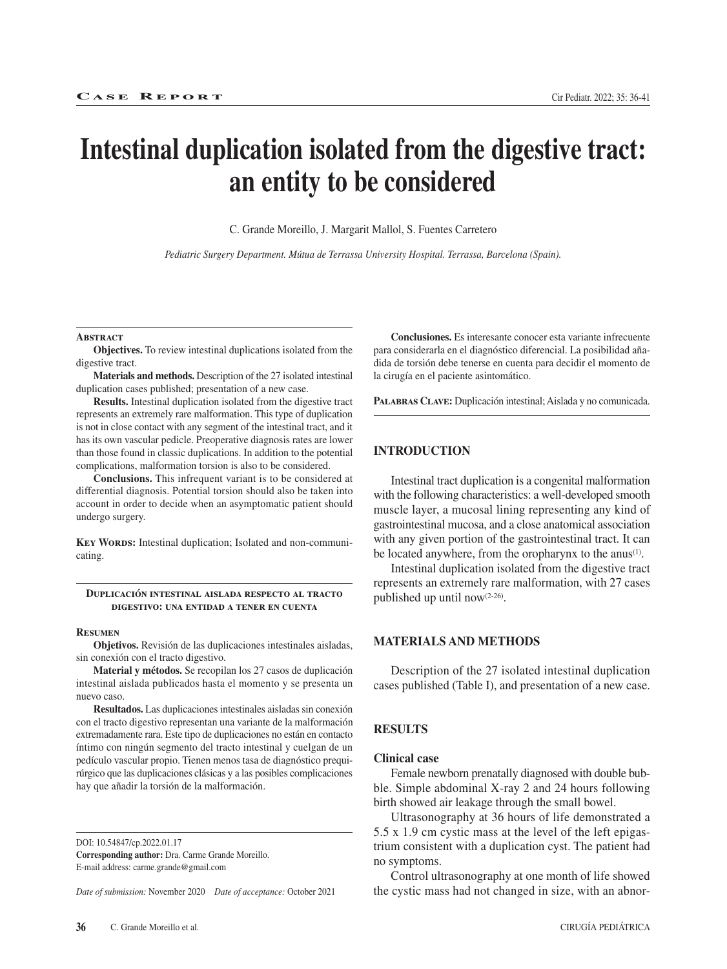# **Intestinal duplication isolated from the digestive tract: an entity to be considered**

C. Grande Moreillo, J. Margarit Mallol, S. Fuentes Carretero

*Pediatric Surgery Department. Mútua de Terrassa University Hospital. Terrassa, Barcelona (Spain).*

#### **Abstract**

**Objectives.** To review intestinal duplications isolated from the digestive tract.

**Materials and methods.** Description of the 27 isolated intestinal duplication cases published; presentation of a new case.

**Results.** Intestinal duplication isolated from the digestive tract represents an extremely rare malformation. This type of duplication is not in close contact with any segment of the intestinal tract, and it has its own vascular pedicle. Preoperative diagnosis rates are lower than those found in classic duplications. In addition to the potential complications, malformation torsion is also to be considered.

**Conclusions.** This infrequent variant is to be considered at differential diagnosis. Potential torsion should also be taken into account in order to decide when an asymptomatic patient should undergo surgery.

**KEY WORDS:** Intestinal duplication; Isolated and non-communicating.

## **Duplicación intestinal aislada respecto al tracto digestivo: una entidad a tener en cuenta**

#### **Resumen**

**Objetivos.** Revisión de las duplicaciones intestinales aisladas, sin conexión con el tracto digestivo.

**Material y métodos.** Se recopilan los 27 casos de duplicación intestinal aislada publicados hasta el momento y se presenta un nuevo caso.

**Resultados.** Las duplicaciones intestinales aisladas sin conexión con el tracto digestivo representan una variante de la malformación extremadamente rara. Este tipo de duplicaciones no están en contacto íntimo con ningún segmento del tracto intestinal y cuelgan de un pedículo vascular propio. Tienen menos tasa de diagnóstico prequirúrgico que las duplicaciones clásicas y a las posibles complicaciones hay que añadir la torsión de la malformación.

DOI: 10.54847/cp.2022.01.17

**Corresponding author:** Dra. Carme Grande Moreillo. E-mail address: carme.grande@gmail.com

*Date of submission:* November 2020 *Date of acceptance:* October 2021

**Conclusiones.** Es interesante conocer esta variante infrecuente para considerarla en el diagnóstico diferencial. La posibilidad añadida de torsión debe tenerse en cuenta para decidir el momento de la cirugía en el paciente asintomático.

**Palabras Clave:** Duplicación intestinal; Aislada y no comunicada.

## **INTRODUCTION**

Intestinal tract duplication is a congenital malformation with the following characteristics: a well-developed smooth muscle layer, a mucosal lining representing any kind of gastrointestinal mucosa, and a close anatomical association with any given portion of the gastrointestinal tract. It can be located anywhere, from the oropharynx to the anus<sup>(1)</sup>.

Intestinal duplication isolated from the digestive tract represents an extremely rare malformation, with 27 cases published up until now(2-26).

# **MATERIALS AND METHODS**

Description of the 27 isolated intestinal duplication cases published (Table I), and presentation of a new case.

# **RESULTS**

## **Clinical case**

Female newborn prenatally diagnosed with double bubble. Simple abdominal X-ray 2 and 24 hours following birth showed air leakage through the small bowel.

Ultrasonography at 36 hours of life demonstrated a 5.5 x 1.9 cm cystic mass at the level of the left epigastrium consistent with a duplication cyst. The patient had no symptoms.

Control ultrasonography at one month of life showed the cystic mass had not changed in size, with an abnor-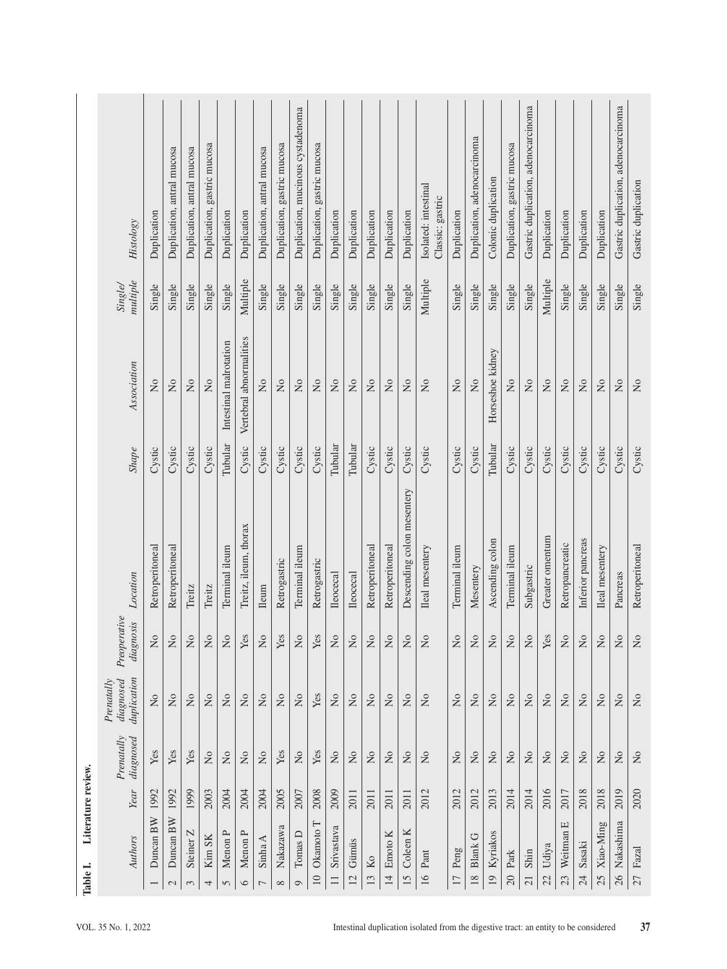|                                                                                                             | <b>Histology</b>                       | Duplication     | Duplication, antral mucosa | Duplication, antral mucosa                      | Duplication, gastric mucosa   | Duplication                                                            | Duplication               | Duplication, antral mucosa | Duplication, gastric mucosa | Duplication, mucinous cystadenoma                                      | Duplication, gastric mucosa | Duplication                        | Duplication               | Duplication               | Duplication               | Duplication                | Isolated: intestinal<br>Classic: gastric | Duplication               | Duplication, adenocarcinoma | Colonic duplication                                                    | Duplication, gastric mucosa | Gastric duplication, adenocarcinoma                                    | Duplication               | Duplication                   | Duplication                   | Duplication               | Gastric duplication, adenocarcinoma | Gastric duplication                                                                                          |
|-------------------------------------------------------------------------------------------------------------|----------------------------------------|-----------------|----------------------------|-------------------------------------------------|-------------------------------|------------------------------------------------------------------------|---------------------------|----------------------------|-----------------------------|------------------------------------------------------------------------|-----------------------------|------------------------------------|---------------------------|---------------------------|---------------------------|----------------------------|------------------------------------------|---------------------------|-----------------------------|------------------------------------------------------------------------|-----------------------------|------------------------------------------------------------------------|---------------------------|-------------------------------|-------------------------------|---------------------------|-------------------------------------|--------------------------------------------------------------------------------------------------------------|
| Literature review.<br>Table I.                                                                              | multiple<br>Single/                    | Single          | Single                     | Single                                          | Single                        | Single                                                                 | Multiple                  | Single                     | Single                      | Single                                                                 | Single                      | Single                             | Single                    | Single                    | Single                    | Single                     | Multiple                                 | Single                    | Single                      | Single                                                                 | Single                      | Single                                                                 | Multiple                  | Single                        | Single                        | Single                    | Single                              | Single                                                                                                       |
|                                                                                                             | Association                            | $\frac{1}{2}$   | $\overline{a}$             | $\mathsf{S}^{\mathsf{O}}$                       | $\overline{M}$                | Intestinal malrotation                                                 | Vertebral abnormalities   | $\overline{\mathsf{x}}$    | $\overline{M}$              | $\rm \stackrel{\circ}{\rm \stackrel{\circ}{\rm \scriptscriptstyle M}}$ | $\overline{\mathsf{z}}$     | $\overline{N}$                     | $\frac{1}{2}$             | $\tilde{z}$               | $\frac{1}{2}$             | $\overline{N}$             | $\rm \stackrel{\circ}{X}$                | $\overline{\mathsf{X}}$   | $\overline{a}$              | Horseshoe kidney                                                       | $\overline{R}$              | $\mathsf{S}^{\mathsf{O}}$                                              | $\overline{N}$            | $\mathsf{S}^{\mathsf{O}}$     | $\rm \stackrel{\circ}{Z}$     | $\overline{M}$            | $\overline{a}$                      | $\tilde{z}$                                                                                                  |
|                                                                                                             | $\emph{Shape}$                         | Cystic          | Cystic                     | Cystic                                          | Cystic                        | Tubular                                                                | Cystic                    | Cystic                     | Cystic                      | Cystic                                                                 | Cystic                      | Tubular                            | Tubular                   | Cystic                    | Cystic                    | Cystic                     | Cystic                                   | Cystic                    | Cystic                      | Tubular                                                                | Cystic                      | Cystic                                                                 | Cystic                    | Cystic                        | Cystic                        | Cystic                    | Cystic                              | Cystic                                                                                                       |
|                                                                                                             | Location                               | Retroperitoneal | Retroperitoneal            | Treitz                                          | Treitz                        | Terminal ileum                                                         | Treitz, ileum, thorax     | Ileum                      | Retrogastric                | Terminal ileum                                                         | Retrogastric                | <b>Ileocecal</b>                   | <b>Ileocecal</b>          | Retroperitoneal           | Retroperitoneal           | Descending colon mesentery | Ileal mesentery                          | Terminal ileum            | Mesentery                   | Ascending colon                                                        | Terminal ileum              | Subgastric                                                             | Greater omentum           | Retropancreatic               | Inferior pancreas             | Ileal mesentery           | Pancreas                            | Retroperitoneal                                                                                              |
|                                                                                                             | Preoperative<br>diagnosis              | $\frac{1}{2}$   | $\tilde{z}$                | $\tilde{z}$                                     | $\mathcal{L}^{\circ}$         | $\tilde{z}$                                                            | Yes                       | $\tilde{z}$                | Yes                         | $\tilde{z}$                                                            | Yes                         | $\tilde{z}$                        | $\tilde{z}$               | $\mathsf{S}^{\mathsf{O}}$ | $\mathsf{S}$              | $\tilde{z}$                | $\overline{2}$                           | $\tilde{z}$               | $\mathsf{S}$                | $\tilde{z}$                                                            | $\mathsf{S}$                | $\tilde{z}$                                                            | Yes                       | $\tilde{z}$                   | $\tilde{z}$                   | $\mathsf{S}^{\mathsf{O}}$ | $\overline{2}$                      | $\tilde{z}$                                                                                                  |
|                                                                                                             | duplication<br>Prenatally<br>diagnosed | $\rm _{N}$      | $\overline{M}$             | $\mathop{\mathsf{S}}$                           | $\rm \stackrel{\circ}{\rm X}$ | $\overline{N}$                                                         | $\rm \stackrel{\circ}{X}$ | $\rm \stackrel{\circ}{X}$  | $\rm _{NO}$                 | $\rm _{N}^{\circ}$                                                     | Yes                         | $\rm \stackrel{\circ}{\mathbf{Z}}$ | $\rm _{NO}$               | $\rm \stackrel{\circ}{X}$ | $\rm _{N}^{\circ}$        | $\rm \stackrel{\circ}{X}$  | $\mathop{\mathsf{S}}$                    | $\overline{N}$            | $\rm _{NO}$                 | $\overline{N}$                                                         | $\overline{M}$              | $\rm \stackrel{\circ}{\rm X}$                                          | $\rm \stackrel{\circ}{X}$ | $\rm \stackrel{\circ}{\rm X}$ | $\rm \stackrel{\circ}{\rm X}$ | $\mathsf{S}^{\mathsf{O}}$ | $\rm \stackrel{\circ}{X}$           | $\rm \stackrel{\circ}{\rm \stackrel{\circ}{\rm \stackrel{\circ}{\rm \stackrel{\circ}{\rm \scriptstyle X}}}}$ |
|                                                                                                             | Prenatally<br>diagnosed                | Yes             | Yes                        | Yes                                             | $\rm \stackrel{\circ}{Z}$     | $\rm \stackrel{\circ}{\rm \stackrel{\circ}{\rm \scriptscriptstyle M}}$ | $\rm _{N}^{\circ}$        | $\rm \stackrel{\circ}{X}$  | Yes                         | $\rm \stackrel{\circ}{\rm X}$                                          | Yes                         | $\rm _{N}^{\circ}$                 | $\rm \stackrel{\circ}{X}$ | $\rm _{N}^{\circ}$        | $\rm _{N}^{\circ}$        | $\mathop{\mathsf{S}}$      | $\rm \stackrel{\circ}{\rm X}$            | $\rm \stackrel{\circ}{X}$ | $\rm _{N}$                  | $\rm \stackrel{\circ}{\rm \stackrel{\circ}{\rm \scriptscriptstyle M}}$ | $\rm \stackrel{\circ}{X}$   | $\rm \stackrel{\circ}{\rm \stackrel{\circ}{\rm \scriptscriptstyle M}}$ | $\rm \stackrel{\circ}{X}$ | $\rm \stackrel{\circ}{\rm X}$ | $\rm _{N}$                    | $\rm \stackrel{\circ}{X}$ | $\rm \stackrel{\circ}{X}$           | $\rm \stackrel{\circ}{\rm X}$                                                                                |
|                                                                                                             | Year                                   | 1992            | 1992                       | 1999                                            | 2003                          | 2004                                                                   | <b>2004</b>               | <b>2004</b>                | 2005                        | 2007                                                                   | 2008                        | 2009                               | 2011                      | 2011                      | 2011                      | 2011                       | 2012                                     | 2012                      | 2012                        | 2013                                                                   | 2014                        | 2014                                                                   | 2016                      | 2017                          | 2018                          | 2018                      | 2019                                | 2020                                                                                                         |
|                                                                                                             | Authors                                | Duncan BW       | Duncan BW<br>$\sim$        | $\mathbf{z}$<br><b>Steiner</b><br>$\mathcal{E}$ | Kim SK<br>4                   | Menon P<br>$\mathbf{c}$                                                | Menon P<br>6              | Sinha A<br>$\overline{ }$  | Nakazawa<br>$\infty$        | Tomas D<br>$\circ$                                                     | Okamoto T<br>$10\,$         | Srivastava<br>$\Box$               | Gümüs<br>12               | $\rm Ko$<br>13            | Emoto K<br>$\overline{1}$ | Coleen K<br>$15 \,$        | $\mathop{\mathrm{Pant}}$<br>16           | Peng<br>$\overline{17}$   | <b>Blank G</b><br>$18\,$    | Kyriakos<br>$\overline{19}$                                            | Partk<br>$\Omega$           | Shin<br>$\overline{21}$                                                | Udiya<br>22               | щ<br>Weitman<br>23            | Sasaki<br>24                  | Xiao-Ming<br>25           | Nakashima<br>$\frac{5}{2}$          | Fazal<br>27                                                                                                  |
| Intestinal duplication isolated from the digestive tract: an entity to be considered<br>VOL. 35 No. 1, 2022 |                                        |                 |                            |                                                 |                               |                                                                        |                           |                            |                             |                                                                        |                             |                                    | 37                        |                           |                           |                            |                                          |                           |                             |                                                                        |                             |                                                                        |                           |                               |                               |                           |                                     |                                                                                                              |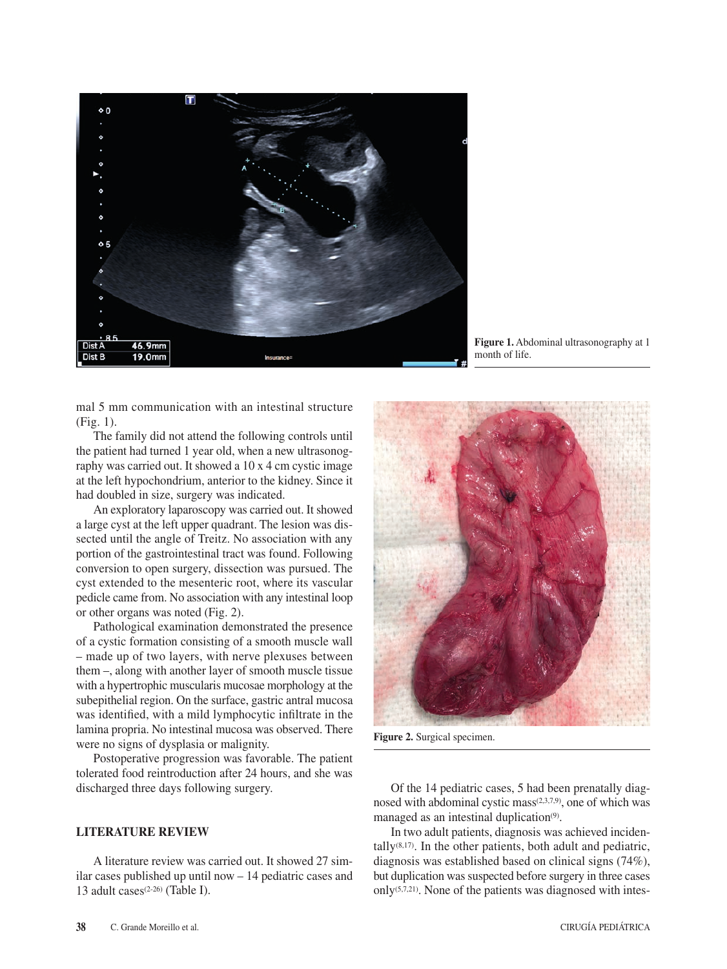

**Figure 1.** Abdominal ultrasonography at 1 month of life.

mal 5 mm communication with an intestinal structure (Fig. 1).

The family did not attend the following controls until the patient had turned 1 year old, when a new ultrasonography was carried out. It showed a 10 x 4 cm cystic image at the left hypochondrium, anterior to the kidney. Since it had doubled in size, surgery was indicated.

An exploratory laparoscopy was carried out. It showed a large cyst at the left upper quadrant. The lesion was dissected until the angle of Treitz. No association with any portion of the gastrointestinal tract was found. Following conversion to open surgery, dissection was pursued. The cyst extended to the mesenteric root, where its vascular pedicle came from. No association with any intestinal loop or other organs was noted (Fig. 2).

Pathological examination demonstrated the presence of a cystic formation consisting of a smooth muscle wall – made up of two layers, with nerve plexuses between them –, along with another layer of smooth muscle tissue with a hypertrophic muscularis mucosae morphology at the subepithelial region. On the surface, gastric antral mucosa was identified, with a mild lymphocytic infiltrate in the lamina propria. No intestinal mucosa was observed. There were no signs of dysplasia or malignity.

Postoperative progression was favorable. The patient tolerated food reintroduction after 24 hours, and she was discharged three days following surgery.

# **LITERATURE REVIEW**

A literature review was carried out. It showed 27 similar cases published up until now – 14 pediatric cases and 13 adult cases<sup>(2-26)</sup> (Table I).



**Figure 2.** Surgical specimen.

Of the 14 pediatric cases, 5 had been prenatally diagnosed with abdominal cystic mass(2,3,7,9), one of which was managed as an intestinal duplication<sup>(9)</sup>.

In two adult patients, diagnosis was achieved incidentally $(8,17)$ . In the other patients, both adult and pediatric, diagnosis was established based on clinical signs (74%), but duplication was suspected before surgery in three cases only(5,7,21). None of the patients was diagnosed with intes-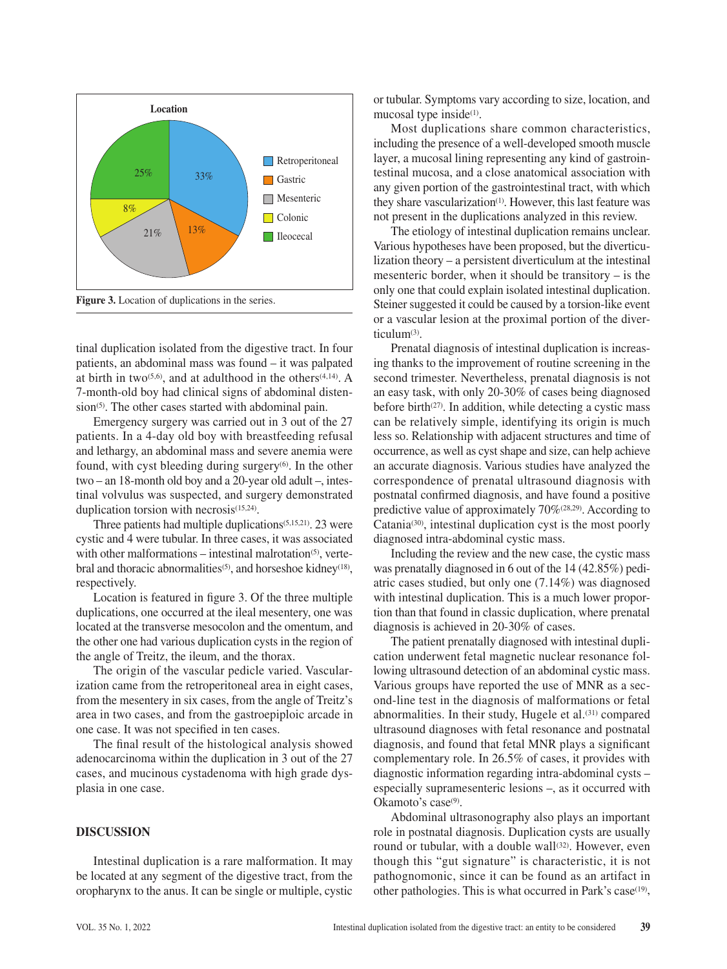

**Figure 3.** Location of duplications in the series.

tinal duplication isolated from the digestive tract. In four patients, an abdominal mass was found – it was palpated at birth in two<sup> $(5,6)$ </sup>, and at adulthood in the others<sup> $(4,14)$ </sup>. A 7-month-old boy had clinical signs of abdominal distension<sup>(5)</sup>. The other cases started with abdominal pain.

Emergency surgery was carried out in 3 out of the 27 patients. In a 4-day old boy with breastfeeding refusal and lethargy, an abdominal mass and severe anemia were found, with cyst bleeding during surgery $(6)$ . In the other two – an 18-month old boy and a 20-year old adult –, intestinal volvulus was suspected, and surgery demonstrated duplication torsion with necrosis<sup>(15,24)</sup>.

Three patients had multiple duplications(5,15,21). 23 were cystic and 4 were tubular. In three cases, it was associated with other malformations  $-$  intestinal malrotation<sup>(5)</sup>, vertebral and thoracic abnormalities<sup>(5)</sup>, and horseshoe kidney<sup>(18)</sup>, respectively.

Location is featured in figure 3. Of the three multiple duplications, one occurred at the ileal mesentery, one was located at the transverse mesocolon and the omentum, and the other one had various duplication cysts in the region of the angle of Treitz, the ileum, and the thorax.

The origin of the vascular pedicle varied. Vascularization came from the retroperitoneal area in eight cases, from the mesentery in six cases, from the angle of Treitz's area in two cases, and from the gastroepiploic arcade in one case. It was not specified in ten cases.

The final result of the histological analysis showed adenocarcinoma within the duplication in 3 out of the 27 cases, and mucinous cystadenoma with high grade dysplasia in one case.

# **DISCUSSION**

Intestinal duplication is a rare malformation. It may be located at any segment of the digestive tract, from the oropharynx to the anus. It can be single or multiple, cystic or tubular. Symptoms vary according to size, location, and mucosal type inside $(1)$ .

Most duplications share common characteristics, including the presence of a well-developed smooth muscle layer, a mucosal lining representing any kind of gastrointestinal mucosa, and a close anatomical association with any given portion of the gastrointestinal tract, with which they share vascularization(1). However, this last feature was not present in the duplications analyzed in this review.

The etiology of intestinal duplication remains unclear. Various hypotheses have been proposed, but the diverticulization theory – a persistent diverticulum at the intestinal mesenteric border, when it should be transitory – is the only one that could explain isolated intestinal duplication. Steiner suggested it could be caused by a torsion-like event or a vascular lesion at the proximal portion of the diverticulum(3).

Prenatal diagnosis of intestinal duplication is increasing thanks to the improvement of routine screening in the second trimester. Nevertheless, prenatal diagnosis is not an easy task, with only 20-30% of cases being diagnosed before birth<sup> $(27)$ </sup>. In addition, while detecting a cystic mass can be relatively simple, identifying its origin is much less so. Relationship with adjacent structures and time of occurrence, as well as cyst shape and size, can help achieve an accurate diagnosis. Various studies have analyzed the correspondence of prenatal ultrasound diagnosis with postnatal confirmed diagnosis, and have found a positive predictive value of approximately 70%(28,29). According to Catania(30), intestinal duplication cyst is the most poorly diagnosed intra-abdominal cystic mass.

Including the review and the new case, the cystic mass was prenatally diagnosed in 6 out of the 14 (42.85%) pediatric cases studied, but only one (7.14%) was diagnosed with intestinal duplication. This is a much lower proportion than that found in classic duplication, where prenatal diagnosis is achieved in 20-30% of cases.

The patient prenatally diagnosed with intestinal duplication underwent fetal magnetic nuclear resonance following ultrasound detection of an abdominal cystic mass. Various groups have reported the use of MNR as a second-line test in the diagnosis of malformations or fetal abnormalities. In their study, Hugele et al.(31) compared ultrasound diagnoses with fetal resonance and postnatal diagnosis, and found that fetal MNR plays a significant complementary role. In 26.5% of cases, it provides with diagnostic information regarding intra-abdominal cysts – especially supramesenteric lesions –, as it occurred with Okamoto's case<sup>(9)</sup>.

Abdominal ultrasonography also plays an important role in postnatal diagnosis. Duplication cysts are usually round or tubular, with a double wall<sup>(32)</sup>. However, even though this "gut signature" is characteristic, it is not pathognomonic, since it can be found as an artifact in other pathologies. This is what occurred in Park's case<sup>(19)</sup>,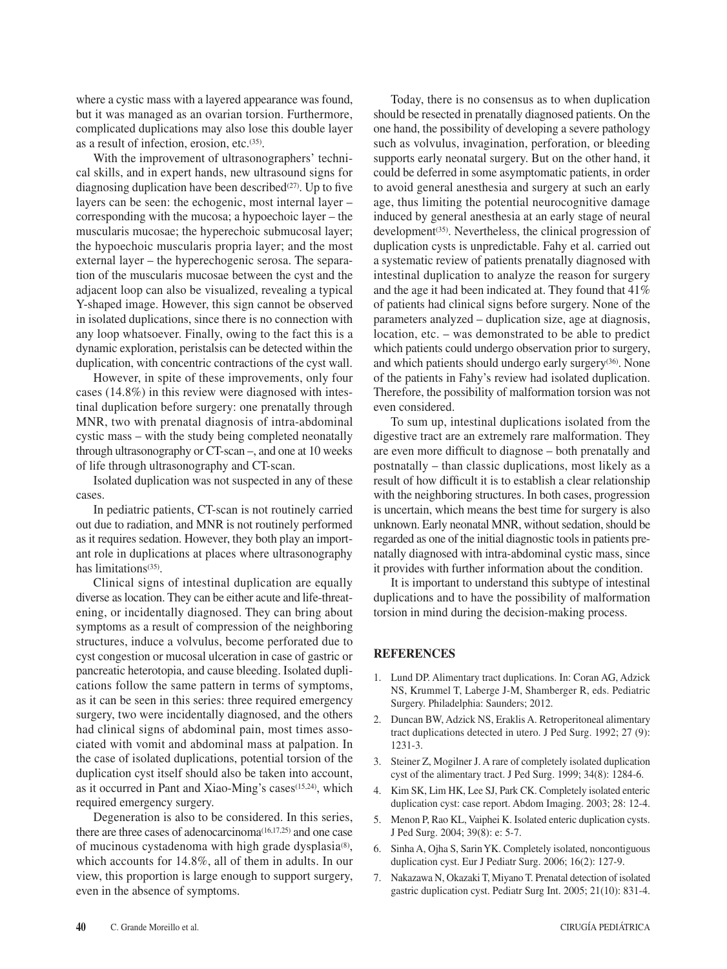where a cystic mass with a layered appearance was found, but it was managed as an ovarian torsion. Furthermore, complicated duplications may also lose this double layer as a result of infection, erosion, etc.(35).

With the improvement of ultrasonographers' technical skills, and in expert hands, new ultrasound signs for diagnosing duplication have been described<sup>(27)</sup>. Up to five layers can be seen: the echogenic, most internal layer – corresponding with the mucosa; a hypoechoic layer – the muscularis mucosae; the hyperechoic submucosal layer; the hypoechoic muscularis propria layer; and the most external layer – the hyperechogenic serosa. The separation of the muscularis mucosae between the cyst and the adjacent loop can also be visualized, revealing a typical Y-shaped image. However, this sign cannot be observed in isolated duplications, since there is no connection with any loop whatsoever. Finally, owing to the fact this is a dynamic exploration, peristalsis can be detected within the duplication, with concentric contractions of the cyst wall.

However, in spite of these improvements, only four cases (14.8%) in this review were diagnosed with intestinal duplication before surgery: one prenatally through MNR, two with prenatal diagnosis of intra-abdominal cystic mass – with the study being completed neonatally through ultrasonography or CT-scan –, and one at 10 weeks of life through ultrasonography and CT-scan.

Isolated duplication was not suspected in any of these cases.

In pediatric patients, CT-scan is not routinely carried out due to radiation, and MNR is not routinely performed as it requires sedation. However, they both play an important role in duplications at places where ultrasonography has limitations<sup>(35)</sup>.

Clinical signs of intestinal duplication are equally diverse as location. They can be either acute and life-threatening, or incidentally diagnosed. They can bring about symptoms as a result of compression of the neighboring structures, induce a volvulus, become perforated due to cyst congestion or mucosal ulceration in case of gastric or pancreatic heterotopia, and cause bleeding. Isolated duplications follow the same pattern in terms of symptoms, as it can be seen in this series: three required emergency surgery, two were incidentally diagnosed, and the others had clinical signs of abdominal pain, most times associated with vomit and abdominal mass at palpation. In the case of isolated duplications, potential torsion of the duplication cyst itself should also be taken into account, as it occurred in Pant and Xiao-Ming's cases<sup>(15,24)</sup>, which required emergency surgery.

Degeneration is also to be considered. In this series, there are three cases of adenocarcinoma<sup>(16,17,25)</sup> and one case of mucinous cystadenoma with high grade dysplasia $(8)$ , which accounts for 14.8%, all of them in adults. In our view, this proportion is large enough to support surgery, even in the absence of symptoms.

Today, there is no consensus as to when duplication should be resected in prenatally diagnosed patients. On the one hand, the possibility of developing a severe pathology such as volvulus, invagination, perforation, or bleeding supports early neonatal surgery. But on the other hand, it could be deferred in some asymptomatic patients, in order to avoid general anesthesia and surgery at such an early age, thus limiting the potential neurocognitive damage induced by general anesthesia at an early stage of neural development<sup>(35)</sup>. Nevertheless, the clinical progression of duplication cysts is unpredictable. Fahy et al. carried out a systematic review of patients prenatally diagnosed with intestinal duplication to analyze the reason for surgery and the age it had been indicated at. They found that 41% of patients had clinical signs before surgery. None of the parameters analyzed – duplication size, age at diagnosis, location, etc. – was demonstrated to be able to predict which patients could undergo observation prior to surgery, and which patients should undergo early surgery(36). None of the patients in Fahy's review had isolated duplication. Therefore, the possibility of malformation torsion was not even considered.

To sum up, intestinal duplications isolated from the digestive tract are an extremely rare malformation. They are even more difficult to diagnose – both prenatally and postnatally – than classic duplications, most likely as a result of how difficult it is to establish a clear relationship with the neighboring structures. In both cases, progression is uncertain, which means the best time for surgery is also unknown. Early neonatal MNR, without sedation, should be regarded as one of the initial diagnostic tools in patients prenatally diagnosed with intra-abdominal cystic mass, since it provides with further information about the condition.

It is important to understand this subtype of intestinal duplications and to have the possibility of malformation torsion in mind during the decision-making process.

# **REFERENCES**

- 1. Lund DP. Alimentary tract duplications. In: Coran AG, Adzick NS, Krummel T, Laberge J-M, Shamberger R, eds. Pediatric Surgery. Philadelphia: Saunders; 2012.
- 2. Duncan BW, Adzick NS, Eraklis A. Retroperitoneal alimentary tract duplications detected in utero. J Ped Surg. 1992; 27 (9): 1231-3.
- 3. Steiner Z, Mogilner J. A rare of completely isolated duplication cyst of the alimentary tract. J Ped Surg. 1999; 34(8): 1284-6.
- 4. Kim SK, Lim HK, Lee SJ, Park CK. Completely isolated enteric duplication cyst: case report. Abdom Imaging. 2003; 28: 12-4.
- 5. Menon P, Rao KL, Vaiphei K. Isolated enteric duplication cysts. J Ped Surg. 2004; 39(8): e: 5-7.
- 6. Sinha A, Ojha S, Sarin YK. Completely isolated, noncontiguous duplication cyst. Eur J Pediatr Surg. 2006; 16(2): 127-9.
- 7. Nakazawa N, Okazaki T, Miyano T. Prenatal detection of isolated gastric duplication cyst. Pediatr Surg Int. 2005; 21(10): 831-4.